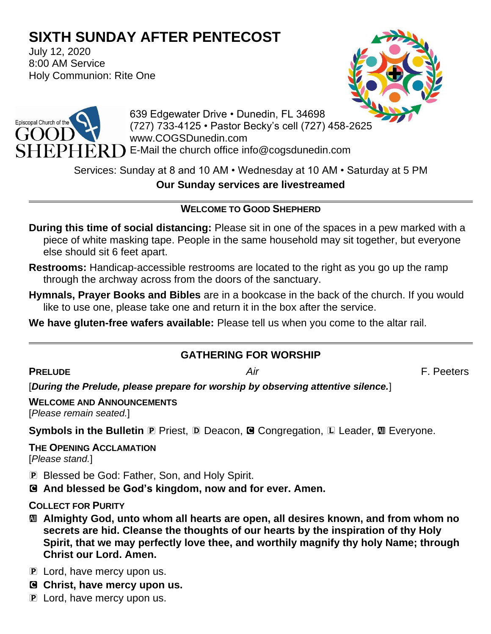# **SIXTH SUNDAY AFTER PENTECOST**

July 12, 2020 8:00 AM Service Holy Communion: Rite One





639 Edgewater Drive • Dunedin, FL 34698 (727) 733-4125 • Pastor Becky's cell (727) 458-2625 www.COGSDunedin.com  $E[\mathbf{R}]$  E-Mail the church office info@cogsdunedin.com

Services: Sunday at 8 and 10 AM • Wednesday at 10 AM • Saturday at 5 PM **Our Sunday services are livestreamed**

# **WELCOME TO GOOD SHEPHERD**

- **During this time of social distancing:** Please sit in one of the spaces in a pew marked with a piece of white masking tape. People in the same household may sit together, but everyone else should sit 6 feet apart.
- **Restrooms:** Handicap-accessible restrooms are located to the right as you go up the ramp through the archway across from the doors of the sanctuary.
- **Hymnals, Prayer Books and Bibles** are in a bookcase in the back of the church. If you would like to use one, please take one and return it in the box after the service.

**We have gluten-free wafers available:** Please tell us when you come to the altar rail.

# **GATHERING FOR WORSHIP**

**PRELUDE** *Air* F. Peeters

[*During the Prelude, please prepare for worship by observing attentive silence.*]

#### **WELCOME AND ANNOUNCEMENTS**

[*Please remain seated.*]

**Symbols in the Bulletin P** Priest, **D** Deacon, **G** Congregation, **L** Leader, **M** Everyone.

**THE OPENING ACCLAMATION** [*Please stand.*]

P Blessed be God: Father, Son, and Holy Spirit.

C **And blessed be God's kingdom, now and for ever. Amen.**

# **COLLECT FOR PURITY**

a **Almighty God, unto whom all hearts are open, all desires known, and from whom no secrets are hid. Cleanse the thoughts of our hearts by the inspiration of thy Holy Spirit, that we may perfectly love thee, and worthily magnify thy holy Name; through Christ our Lord. Amen.**

**P** Lord, have mercy upon us.

- C **Christ, have mercy upon us.**
- **P** Lord, have mercy upon us.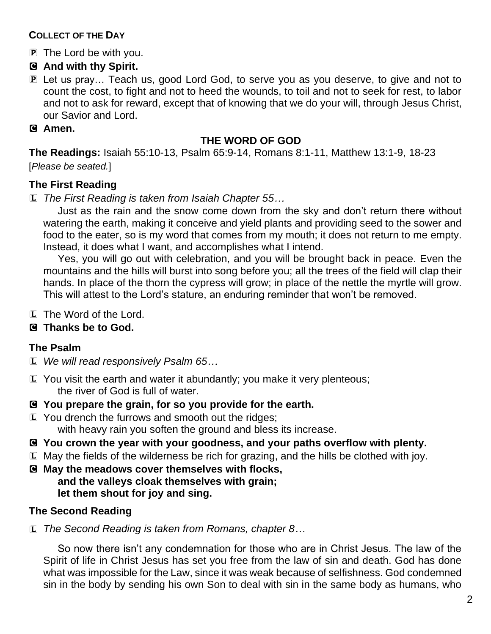#### **COLLECT OF THE DAY**

P The Lord be with you.

# C **And with thy Spirit.**

P Let us pray… Teach us, good Lord God, to serve you as you deserve, to give and not to count the cost, to fight and not to heed the wounds, to toil and not to seek for rest, to labor and not to ask for reward, except that of knowing that we do your will, through Jesus Christ, our Savior and Lord.

# C **Amen.**

# **THE WORD OF GOD**

**The Readings:** Isaiah 55:10-13, Psalm 65:9-14, Romans 8:1-11, Matthew 13:1-9, 18-23 [*Please be seated.*]

# **The First Reading**

L *The First Reading is taken from Isaiah Chapter 55…*

Just as the rain and the snow come down from the sky and don't return there without watering the earth, making it conceive and yield plants and providing seed to the sower and food to the eater, so is my word that comes from my mouth; it does not return to me empty. Instead, it does what I want, and accomplishes what I intend.

Yes, you will go out with celebration, and you will be brought back in peace. Even the mountains and the hills will burst into song before you; all the trees of the field will clap their hands. In place of the thorn the cypress will grow; in place of the nettle the myrtle will grow. This will attest to the Lord's stature, an enduring reminder that won't be removed.

L The Word of the Lord.

# C **Thanks be to God.**

# **The Psalm**

- L *We will read responsively Psalm 65…*
- L You visit the earth and water it abundantly; you make it very plenteous; the river of God is full of water.
- C **You prepare the grain, for so you provide for the earth.**
- L You drench the furrows and smooth out the ridges; with heavy rain you soften the ground and bless its increase.
- C **You crown the year with your goodness, and your paths overflow with plenty.**
- L May the fields of the wilderness be rich for grazing, and the hills be clothed with joy.
- C **May the meadows cover themselves with flocks, and the valleys cloak themselves with grain; let them shout for joy and sing.**

# **The Second Reading**

L *The Second Reading is taken from Romans, chapter 8…*

So now there isn't any condemnation for those who are in Christ Jesus. The law of the Spirit of life in Christ Jesus has set you free from the law of sin and death. God has done what was impossible for the Law, since it was weak because of selfishness. God condemned sin in the body by sending his own Son to deal with sin in the same body as humans, who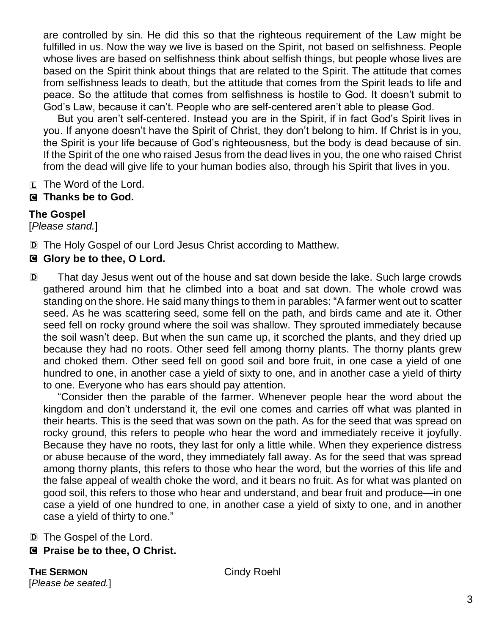are controlled by sin. He did this so that the righteous requirement of the Law might be fulfilled in us. Now the way we live is based on the Spirit, not based on selfishness. People whose lives are based on selfishness think about selfish things, but people whose lives are based on the Spirit think about things that are related to the Spirit. The attitude that comes from selfishness leads to death, but the attitude that comes from the Spirit leads to life and peace. So the attitude that comes from selfishness is hostile to God. It doesn't submit to God's Law, because it can't. People who are self-centered aren't able to please God.

But you aren't self-centered. Instead you are in the Spirit, if in fact God's Spirit lives in you. If anyone doesn't have the Spirit of Christ, they don't belong to him. If Christ is in you, the Spirit is your life because of God's righteousness, but the body is dead because of sin. If the Spirit of the one who raised Jesus from the dead lives in you, the one who raised Christ from the dead will give life to your human bodies also, through his Spirit that lives in you.

 $\Box$  The Word of the Lord.

#### C **Thanks be to God.**

### **The Gospel**

[*Please stand.*]

D The Holy Gospel of our Lord Jesus Christ according to Matthew.

### C **Glory be to thee, O Lord.**

D That day Jesus went out of the house and sat down beside the lake. Such large crowds gathered around him that he climbed into a boat and sat down. The whole crowd was standing on the shore. He said many things to them in parables: "A farmer went out to scatter seed. As he was scattering seed, some fell on the path, and birds came and ate it. Other seed fell on rocky ground where the soil was shallow. They sprouted immediately because the soil wasn't deep. But when the sun came up, it scorched the plants, and they dried up because they had no roots. Other seed fell among thorny plants. The thorny plants grew and choked them. Other seed fell on good soil and bore fruit, in one case a yield of one hundred to one, in another case a yield of sixty to one, and in another case a yield of thirty to one. Everyone who has ears should pay attention.

"Consider then the parable of the farmer. Whenever people hear the word about the kingdom and don't understand it, the evil one comes and carries off what was planted in their hearts. This is the seed that was sown on the path. As for the seed that was spread on rocky ground, this refers to people who hear the word and immediately receive it joyfully. Because they have no roots, they last for only a little while. When they experience distress or abuse because of the word, they immediately fall away. As for the seed that was spread among thorny plants, this refers to those who hear the word, but the worries of this life and the false appeal of wealth choke the word, and it bears no fruit. As for what was planted on good soil, this refers to those who hear and understand, and bear fruit and produce—in one case a yield of one hundred to one, in another case a yield of sixty to one, and in another case a yield of thirty to one."

D The Gospel of the Lord.

# C **Praise be to thee, O Christ.**

**THE SERMON** Cindy Roehl [*Please be seated.*]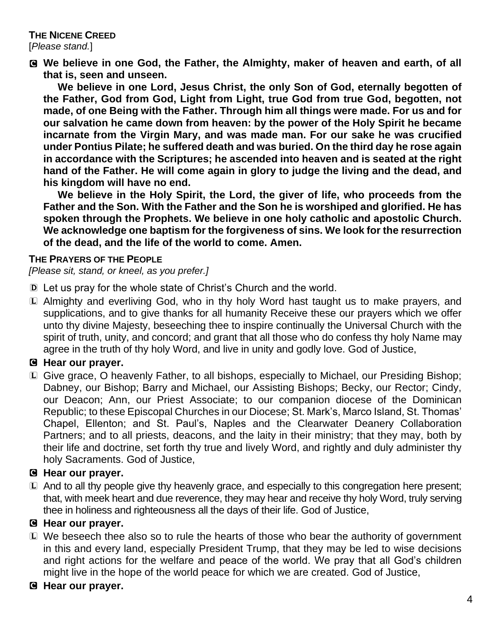#### **THE NICENE CREED**  [*Please stand.*]

C **We believe in one God, the Father, the Almighty, maker of heaven and earth, of all that is, seen and unseen.** 

**We believe in one Lord, Jesus Christ, the only Son of God, eternally begotten of the Father, God from God, Light from Light, true God from true God, begotten, not made, of one Being with the Father. Through him all things were made. For us and for our salvation he came down from heaven: by the power of the Holy Spirit he became incarnate from the Virgin Mary, and was made man. For our sake he was crucified under Pontius Pilate; he suffered death and was buried. On the third day he rose again in accordance with the Scriptures; he ascended into heaven and is seated at the right hand of the Father. He will come again in glory to judge the living and the dead, and his kingdom will have no end.**

**We believe in the Holy Spirit, the Lord, the giver of life, who proceeds from the Father and the Son. With the Father and the Son he is worshiped and glorified. He has spoken through the Prophets. We believe in one holy catholic and apostolic Church. We acknowledge one baptism for the forgiveness of sins. We look for the resurrection of the dead, and the life of the world to come. Amen.**

#### **THE PRAYERS OF THE PEOPLE**

*[Please sit, stand, or kneel, as you prefer.]*

- D Let us pray for the whole state of Christ's Church and the world.
- L Almighty and everliving God, who in thy holy Word hast taught us to make prayers, and supplications, and to give thanks for all humanity Receive these our prayers which we offer unto thy divine Majesty, beseeching thee to inspire continually the Universal Church with the spirit of truth, unity, and concord; and grant that all those who do confess thy holy Name may agree in the truth of thy holy Word, and live in unity and godly love. God of Justice,

#### C **Hear our prayer.**

L Give grace, O heavenly Father, to all bishops, especially to Michael, our Presiding Bishop; Dabney, our Bishop; Barry and Michael, our Assisting Bishops; Becky, our Rector; Cindy, our Deacon; Ann, our Priest Associate; to our companion diocese of the Dominican Republic; to these Episcopal Churches in our Diocese; St. Mark's, Marco Island, St. Thomas' Chapel, Ellenton; and St. Paul's, Naples and the Clearwater Deanery Collaboration Partners; and to all priests, deacons, and the laity in their ministry; that they may, both by their life and doctrine, set forth thy true and lively Word, and rightly and duly administer thy holy Sacraments. God of Justice,

#### C **Hear our prayer.**

L And to all thy people give thy heavenly grace, and especially to this congregation here present; that, with meek heart and due reverence, they may hear and receive thy holy Word, truly serving thee in holiness and righteousness all the days of their life. God of Justice,

#### C **Hear our prayer.**

L We beseech thee also so to rule the hearts of those who bear the authority of government in this and every land, especially President Trump, that they may be led to wise decisions and right actions for the welfare and peace of the world. We pray that all God's children might live in the hope of the world peace for which we are created. God of Justice,

#### C **Hear our prayer.**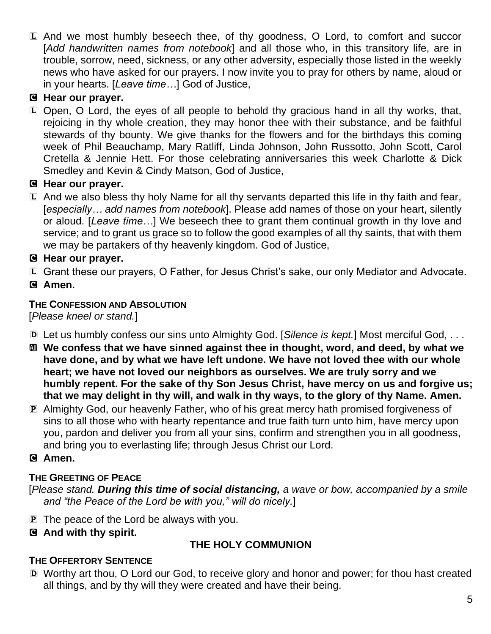L And we most humbly beseech thee, of thy goodness, O Lord, to comfort and succor [*Add handwritten names from notebook*] and all those who, in this transitory life, are in trouble, sorrow, need, sickness, or any other adversity, especially those listed in the weekly news who have asked for our prayers. I now invite you to pray for others by name, aloud or in your hearts. [*Leave time…*] God of Justice,

# C **Hear our prayer.**

L Open, O Lord, the eyes of all people to behold thy gracious hand in all thy works, that, rejoicing in thy whole creation, they may honor thee with their substance, and be faithful stewards of thy bounty. We give thanks for the flowers and for the birthdays this coming week of Phil Beauchamp, Mary Ratliff, Linda Johnson, John Russotto, John Scott, Carol Cretella & Jennie Hett. For those celebrating anniversaries this week Charlotte & Dick Smedley and Kevin & Cindy Matson, God of Justice,

# C **Hear our prayer.**

L And we also bless thy holy Name for all thy servants departed this life in thy faith and fear, [*especially… add names from notebook*]. Please add names of those on your heart, silently or aloud. [*Leave time…*] We beseech thee to grant them continual growth in thy love and service; and to grant us grace so to follow the good examples of all thy saints, that with them we may be partakers of thy heavenly kingdom. God of Justice,

# C **Hear our prayer.**

L Grant these our prayers, O Father, for Jesus Christ's sake, our only Mediator and Advocate.

C **Amen.**

# **THE CONFESSION AND ABSOLUTION**

[*Please kneel or stand.*]

- D Let us humbly confess our sins unto Almighty God. [*Silence is kept.*] Most merciful God, . . .
- a **We confess that we have sinned against thee in thought, word, and deed, by what we have done, and by what we have left undone. We have not loved thee with our whole heart; we have not loved our neighbors as ourselves. We are truly sorry and we humbly repent. For the sake of thy Son Jesus Christ, have mercy on us and forgive us; that we may delight in thy will, and walk in thy ways, to the glory of thy Name. Amen.**
- P Almighty God, our heavenly Father, who of his great mercy hath promised forgiveness of sins to all those who with hearty repentance and true faith turn unto him, have mercy upon you, pardon and deliver you from all your sins, confirm and strengthen you in all goodness, and bring you to everlasting life; through Jesus Christ our Lord.

# C **Amen.**

# **THE GREETING OF PEACE**

[*Please stand. During this time of social distancing, a wave or bow, accompanied by a smile and "the Peace of the Lord be with you," will do nicely.*]

- P The peace of the Lord be always with you.
- C **And with thy spirit.**

# **THE HOLY COMMUNION**

# **THE OFFERTORY SENTENCE**

D Worthy art thou, O Lord our God, to receive glory and honor and power; for thou hast created all things, and by thy will they were created and have their being.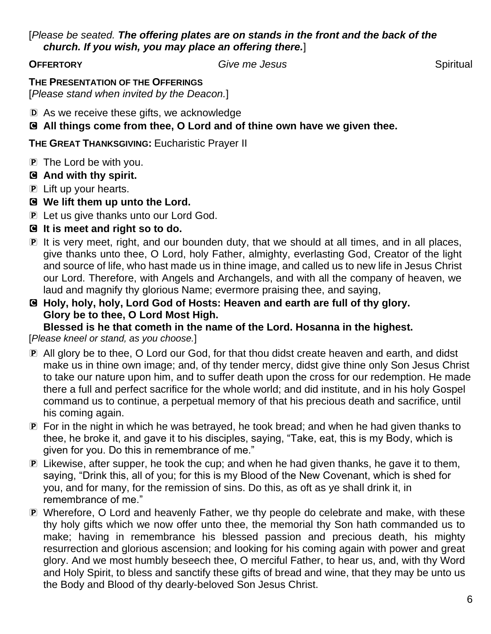#### [*Please be seated. The offering plates are on stands in the front and the back of the church. If you wish, you may place an offering there.*]

**OFFERTORY** Spiritual *Give me Jesus* Spiritual

**THE PRESENTATION OF THE OFFERINGS** [*Please stand when invited by the Deacon.*]

- D As we receive these gifts, we acknowledge
- C **All things come from thee, O Lord and of thine own have we given thee.**

**THE GREAT THANKSGIVING:** Eucharistic Prayer II

- P The Lord be with you.
- C **And with thy spirit.**
- P Lift up your hearts.
- C **We lift them up unto the Lord.**
- P Let us give thanks unto our Lord God.
- C **It is meet and right so to do.**
- P It is very meet, right, and our bounden duty, that we should at all times, and in all places, give thanks unto thee, O Lord, holy Father, almighty, everlasting God, Creator of the light and source of life, who hast made us in thine image, and called us to new life in Jesus Christ our Lord. Therefore, with Angels and Archangels, and with all the company of heaven, we laud and magnify thy glorious Name; evermore praising thee, and saying,
- C **Holy, holy, holy, Lord God of Hosts: Heaven and earth are full of thy glory. Glory be to thee, O Lord Most High.**

#### **Blessed is he that cometh in the name of the Lord. Hosanna in the highest.**

[*Please kneel or stand, as you choose.*]

- P All glory be to thee, O Lord our God, for that thou didst create heaven and earth, and didst make us in thine own image; and, of thy tender mercy, didst give thine only Son Jesus Christ to take our nature upon him, and to suffer death upon the cross for our redemption. He made there a full and perfect sacrifice for the whole world; and did institute, and in his holy Gospel command us to continue, a perpetual memory of that his precious death and sacrifice, until his coming again.
- P For in the night in which he was betrayed, he took bread; and when he had given thanks to thee, he broke it, and gave it to his disciples, saying, "Take, eat, this is my Body, which is given for you. Do this in remembrance of me."
- P Likewise, after supper, he took the cup; and when he had given thanks, he gave it to them, saying, "Drink this, all of you; for this is my Blood of the New Covenant, which is shed for you, and for many, for the remission of sins. Do this, as oft as ye shall drink it, in remembrance of me."
- P Wherefore, O Lord and heavenly Father, we thy people do celebrate and make, with these thy holy gifts which we now offer unto thee, the memorial thy Son hath commanded us to make; having in remembrance his blessed passion and precious death, his mighty resurrection and glorious ascension; and looking for his coming again with power and great glory. And we most humbly beseech thee, O merciful Father, to hear us, and, with thy Word and Holy Spirit, to bless and sanctify these gifts of bread and wine, that they may be unto us the Body and Blood of thy dearly-beloved Son Jesus Christ.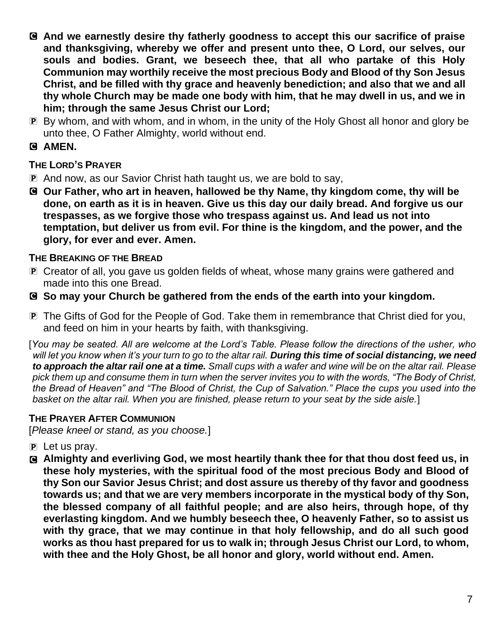- C **And we earnestly desire thy fatherly goodness to accept this our sacrifice of praise and thanksgiving, whereby we offer and present unto thee, O Lord, our selves, our souls and bodies. Grant, we beseech thee, that all who partake of this Holy Communion may worthily receive the most precious Body and Blood of thy Son Jesus Christ, and be filled with thy grace and heavenly benediction; and also that we and all thy whole Church may be made one body with him, that he may dwell in us, and we in him; through the same Jesus Christ our Lord;**
- P By whom, and with whom, and in whom, in the unity of the Holy Ghost all honor and glory be unto thee, O Father Almighty, world without end.
- C **AMEN.**

### **THE LORD'S PRAYER**

- P And now, as our Savior Christ hath taught us, we are bold to say,
- C **Our Father, who art in heaven, hallowed be thy Name, thy kingdom come, thy will be done, on earth as it is in heaven. Give us this day our daily bread. And forgive us our trespasses, as we forgive those who trespass against us. And lead us not into temptation, but deliver us from evil. For thine is the kingdom, and the power, and the glory, for ever and ever. Amen.**

#### **THE BREAKING OF THE BREAD**

- P Creator of all, you gave us golden fields of wheat, whose many grains were gathered and made into this one Bread.
- C **So may your Church be gathered from the ends of the earth into your kingdom.**
- P The Gifts of God for the People of God. Take them in remembrance that Christ died for you, and feed on him in your hearts by faith, with thanksgiving.

[*You may be seated. All are welcome at the Lord's Table. Please follow the directions of the usher, who will let you know when it's your turn to go to the altar rail. During this time of social distancing, we need to approach the altar rail one at a time. Small cups with a wafer and wine will be on the altar rail. Please pick them up and consume them in turn when the server invites you to with the words, "The Body of Christ, the Bread of Heaven" and "The Blood of Christ, the Cup of Salvation." Place the cups you used into the basket on the altar rail. When you are finished, please return to your seat by the side aisle.*]

# **THE PRAYER AFTER COMMUNION**

[*Please kneel or stand, as you choose.*]

- P Let us pray.
- C **Almighty and everliving God, we most heartily thank thee for that thou dost feed us, in these holy mysteries, with the spiritual food of the most precious Body and Blood of thy Son our Savior Jesus Christ; and dost assure us thereby of thy favor and goodness towards us; and that we are very members incorporate in the mystical body of thy Son, the blessed company of all faithful people; and are also heirs, through hope, of thy everlasting kingdom. And we humbly beseech thee, O heavenly Father, so to assist us with thy grace, that we may continue in that holy fellowship, and do all such good works as thou hast prepared for us to walk in; through Jesus Christ our Lord, to whom, with thee and the Holy Ghost, be all honor and glory, world without end. Amen.**